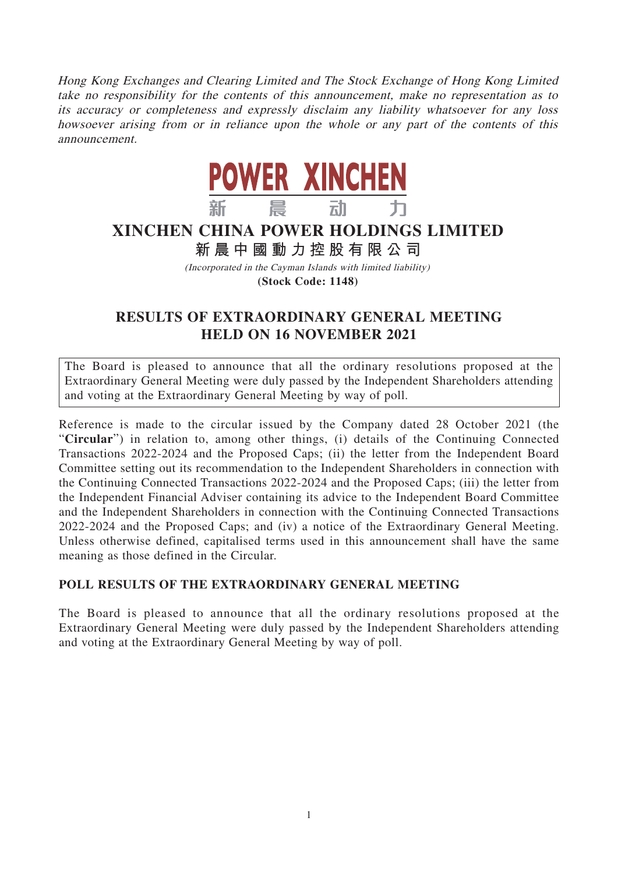Hong Kong Exchanges and Clearing Limited and The Stock Exchange of Hong Kong Limited take no responsibility for the contents of this announcement, make no representation as to its accuracy or completeness and expressly disclaim any liability whatsoever for any loss howsoever arising from or in reliance upon the whole or any part of the contents of this announcement.



## **XINCHEN CHINA POWER HOLDINGS LIMITED**

## **新晨中國動力控股有限公 司**

(Incorporated in the Cayman Islands with limited liability) **(Stock Code: 1148)**

## **RESULTS OF EXTRAORDINARY GENERAL MEETING HELD ON 16 NOVEMBER 2021**

The Board is pleased to announce that all the ordinary resolutions proposed at the Extraordinary General Meeting were duly passed by the Independent Shareholders attending and voting at the Extraordinary General Meeting by way of poll.

Reference is made to the circular issued by the Company dated 28 October 2021 (the "**Circular**") in relation to, among other things, (i) details of the Continuing Connected Transactions 2022-2024 and the Proposed Caps; (ii) the letter from the Independent Board Committee setting out its recommendation to the Independent Shareholders in connection with the Continuing Connected Transactions 2022-2024 and the Proposed Caps; (iii) the letter from the Independent Financial Adviser containing its advice to the Independent Board Committee and the Independent Shareholders in connection with the Continuing Connected Transactions 2022-2024 and the Proposed Caps; and (iv) a notice of the Extraordinary General Meeting. Unless otherwise defined, capitalised terms used in this announcement shall have the same meaning as those defined in the Circular.

## **POLL RESULTS OF THE EXTRAORDINARY GENERAL MEETING**

The Board is pleased to announce that all the ordinary resolutions proposed at the Extraordinary General Meeting were duly passed by the Independent Shareholders attending and voting at the Extraordinary General Meeting by way of poll.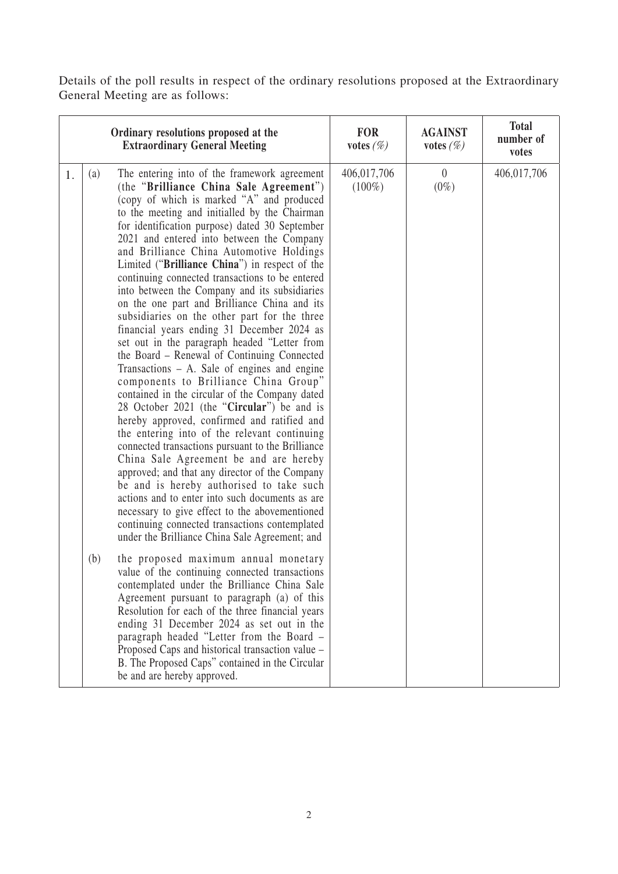Details of the poll results in respect of the ordinary resolutions proposed at the Extraordinary General Meeting are as follows:

|    |            | Ordinary resolutions proposed at the<br><b>Extraordinary General Meeting</b>                                                                                                                                                                                                                                                                                                                                                                                                                                                                                                                                                                                                                                                                                                                                                                                                                                                                                                                                                                                                                                                                                                                                                                                                                                                                                                                                                                                                                                                                                                                                                                                                                                                                                                                                                                                                       | <b>FOR</b><br>votes $(\%)$ | <b>AGAINST</b><br>votes $(\%)$ | <b>Total</b><br>number of<br>votes |
|----|------------|------------------------------------------------------------------------------------------------------------------------------------------------------------------------------------------------------------------------------------------------------------------------------------------------------------------------------------------------------------------------------------------------------------------------------------------------------------------------------------------------------------------------------------------------------------------------------------------------------------------------------------------------------------------------------------------------------------------------------------------------------------------------------------------------------------------------------------------------------------------------------------------------------------------------------------------------------------------------------------------------------------------------------------------------------------------------------------------------------------------------------------------------------------------------------------------------------------------------------------------------------------------------------------------------------------------------------------------------------------------------------------------------------------------------------------------------------------------------------------------------------------------------------------------------------------------------------------------------------------------------------------------------------------------------------------------------------------------------------------------------------------------------------------------------------------------------------------------------------------------------------------|----------------------------|--------------------------------|------------------------------------|
| 1. | (a)<br>(b) | The entering into of the framework agreement<br>(the "Brilliance China Sale Agreement")<br>(copy of which is marked "A" and produced<br>to the meeting and initialled by the Chairman<br>for identification purpose) dated 30 September<br>2021 and entered into between the Company<br>and Brilliance China Automotive Holdings<br>Limited ("Brilliance China") in respect of the<br>continuing connected transactions to be entered<br>into between the Company and its subsidiaries<br>on the one part and Brilliance China and its<br>subsidiaries on the other part for the three<br>financial years ending 31 December 2024 as<br>set out in the paragraph headed "Letter from<br>the Board – Renewal of Continuing Connected<br>Transactions $- A$ . Sale of engines and engine<br>components to Brilliance China Group"<br>contained in the circular of the Company dated<br>28 October 2021 (the "Circular") be and is<br>hereby approved, confirmed and ratified and<br>the entering into of the relevant continuing<br>connected transactions pursuant to the Brilliance<br>China Sale Agreement be and are hereby<br>approved; and that any director of the Company<br>be and is hereby authorised to take such<br>actions and to enter into such documents as are<br>necessary to give effect to the abovementioned<br>continuing connected transactions contemplated<br>under the Brilliance China Sale Agreement; and<br>the proposed maximum annual monetary<br>value of the continuing connected transactions<br>contemplated under the Brilliance China Sale<br>Agreement pursuant to paragraph (a) of this<br>Resolution for each of the three financial years<br>ending 31 December 2024 as set out in the<br>paragraph headed "Letter from the Board -<br>Proposed Caps and historical transaction value -<br>B. The Proposed Caps" contained in the Circular | 406,017,706<br>$(100\%)$   | $\overline{0}$<br>$(0\%)$      | 406,017,706                        |
|    |            | be and are hereby approved.                                                                                                                                                                                                                                                                                                                                                                                                                                                                                                                                                                                                                                                                                                                                                                                                                                                                                                                                                                                                                                                                                                                                                                                                                                                                                                                                                                                                                                                                                                                                                                                                                                                                                                                                                                                                                                                        |                            |                                |                                    |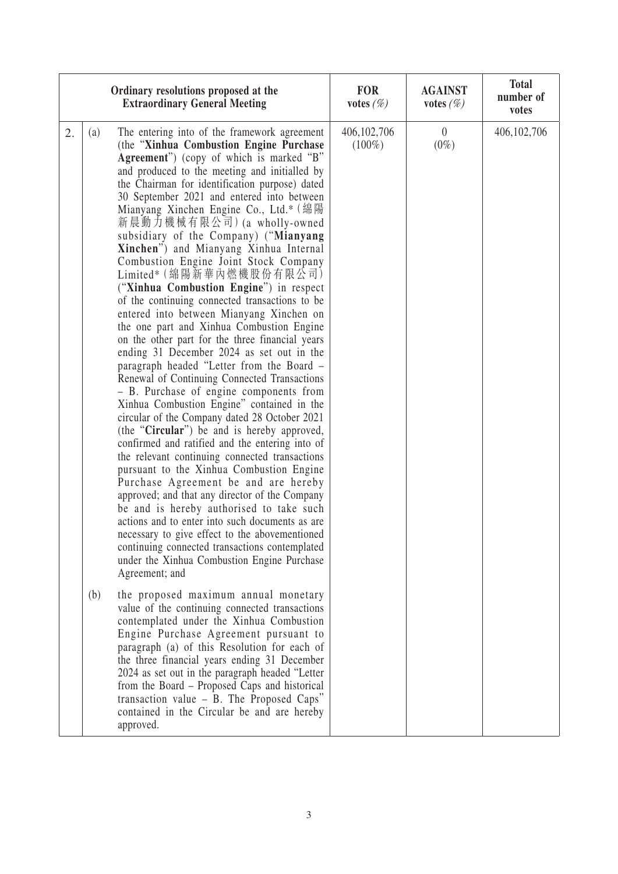| Ordinary resolutions proposed at the<br><b>Extraordinary General Meeting</b> |     |                                                                                                                                                                                                                                                                                                                                                                                                                                                                                                                                                                                                                                                                                                                                                                                                                                                                                                                                                                                                                                                                                                                                                                                                                                                                                                                                                                                                                                                                                                                                                                                                                           | <b>FOR</b><br>votes $(\%)$ | <b>AGAINST</b><br>votes $(\%)$ | <b>Total</b><br>number of<br>votes |
|------------------------------------------------------------------------------|-----|---------------------------------------------------------------------------------------------------------------------------------------------------------------------------------------------------------------------------------------------------------------------------------------------------------------------------------------------------------------------------------------------------------------------------------------------------------------------------------------------------------------------------------------------------------------------------------------------------------------------------------------------------------------------------------------------------------------------------------------------------------------------------------------------------------------------------------------------------------------------------------------------------------------------------------------------------------------------------------------------------------------------------------------------------------------------------------------------------------------------------------------------------------------------------------------------------------------------------------------------------------------------------------------------------------------------------------------------------------------------------------------------------------------------------------------------------------------------------------------------------------------------------------------------------------------------------------------------------------------------------|----------------------------|--------------------------------|------------------------------------|
| 2.                                                                           | (a) | The entering into of the framework agreement<br>(the "Xinhua Combustion Engine Purchase<br>Agreement") (copy of which is marked "B"<br>and produced to the meeting and initialled by<br>the Chairman for identification purpose) dated<br>30 September 2021 and entered into between<br>Mianyang Xinchen Engine Co., Ltd.* (綿陽<br>新晨動力機械有限公司) (a wholly-owned<br>subsidiary of the Company) ("Mianyang<br>Xinchen") and Mianyang Xinhua Internal<br>Combustion Engine Joint Stock Company<br>Limited* (綿陽新華內燃機股份有限公司)<br>("Xinhua Combustion Engine") in respect<br>of the continuing connected transactions to be<br>entered into between Mianyang Xinchen on<br>the one part and Xinhua Combustion Engine<br>on the other part for the three financial years<br>ending 31 December 2024 as set out in the<br>paragraph headed "Letter from the Board -<br>Renewal of Continuing Connected Transactions<br>- B. Purchase of engine components from<br>Xinhua Combustion Engine" contained in the<br>circular of the Company dated 28 October 2021<br>(the " <b>Circular</b> ") be and is hereby approved,<br>confirmed and ratified and the entering into of<br>the relevant continuing connected transactions<br>pursuant to the Xinhua Combustion Engine<br>Purchase Agreement be and are hereby<br>approved; and that any director of the Company<br>be and is hereby authorised to take such<br>actions and to enter into such documents as are<br>necessary to give effect to the abovementioned<br>continuing connected transactions contemplated<br>under the Xinhua Combustion Engine Purchase<br>Agreement; and | 406, 102, 706<br>$(100\%)$ | $\theta$<br>$(0\%)$            | 406,102,706                        |
|                                                                              | (b) | the proposed maximum annual monetary<br>value of the continuing connected transactions<br>contemplated under the Xinhua Combustion<br>Engine Purchase Agreement pursuant to<br>paragraph (a) of this Resolution for each of<br>the three financial years ending 31 December<br>2024 as set out in the paragraph headed "Letter<br>from the Board – Proposed Caps and historical<br>transaction value - B. The Proposed Caps"<br>contained in the Circular be and are hereby<br>approved.                                                                                                                                                                                                                                                                                                                                                                                                                                                                                                                                                                                                                                                                                                                                                                                                                                                                                                                                                                                                                                                                                                                                  |                            |                                |                                    |